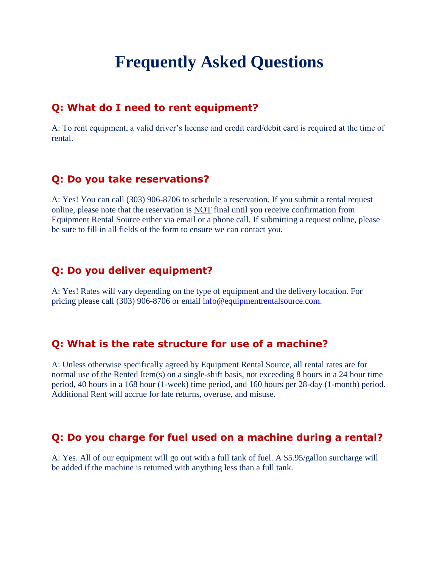# **Frequently Asked Questions**

#### **Q: What do I need to rent equipment?**

A: To rent equipment, a valid driver's license and credit card/debit card is required at the time of rental.

#### **Q: Do you take reservations?**

A: Yes! You can call (303) 906-8706 to schedule a reservation. If you submit a rental request online, please note that the reservation is NOT final until you receive confirmation from Equipment Rental Source either via email or a phone call. If submitting a request online, please be sure to fill in all fields of the form to ensure we can contact you.

### **Q: Do you deliver equipment?**

A: Yes! Rates will vary depending on the type of equipment and the delivery location. For pricing please call (303) 906-8706 or email [info@equipmentrentalsource.com.](mailto:info@equipmentrentalsource.com)

#### **Q: What is the rate structure for use of a machine?**

A: Unless otherwise specifically agreed by Equipment Rental Source, all rental rates are for normal use of the Rented Item(s) on a single-shift basis, not exceeding 8 hours in a 24 hour time period, 40 hours in a 168 hour (1-week) time period, and 160 hours per 28-day (1-month) period. Additional Rent will accrue for late returns, overuse, and misuse.

### **Q: Do you charge for fuel used on a machine during a rental?**

A: Yes. All of our equipment will go out with a full tank of fuel. A \$5.95/gallon surcharge will be added if the machine is returned with anything less than a full tank.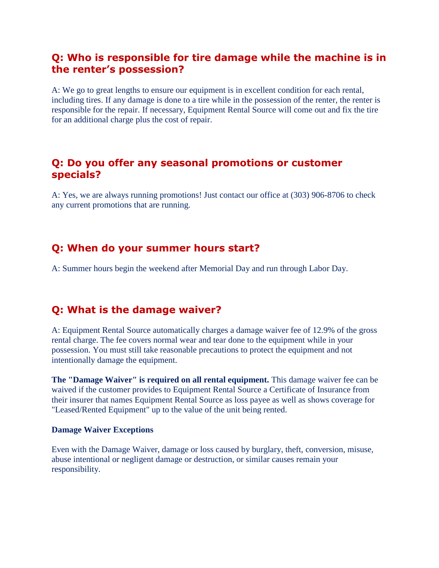# **Q: Who is responsible for tire damage while the machine is in the renter's possession?**

A: We go to great lengths to ensure our equipment is in excellent condition for each rental, including tires. If any damage is done to a tire while in the possession of the renter, the renter is responsible for the repair. If necessary, Equipment Rental Source will come out and fix the tire for an additional charge plus the cost of repair.

### **Q: Do you offer any seasonal promotions or customer specials?**

A: Yes, we are always running promotions! Just contact our office at (303) 906-8706 to check any current promotions that are running.

### **Q: When do your summer hours start?**

A: Summer hours begin the weekend after Memorial Day and run through Labor Day.

# **Q: What is the damage waiver?**

A: Equipment Rental Source automatically charges a damage waiver fee of 12.9% of the gross rental charge. The fee covers normal wear and tear done to the equipment while in your possession. You must still take reasonable precautions to protect the equipment and not intentionally damage the equipment.

**The "Damage Waiver" is required on all rental equipment.** This damage waiver fee can be waived if the customer provides to Equipment Rental Source a Certificate of Insurance from their insurer that names Equipment Rental Source as loss payee as well as shows coverage for "Leased/Rented Equipment" up to the value of the unit being rented.

#### **Damage Waiver Exceptions**

Even with the Damage Waiver, damage or loss caused by burglary, theft, conversion, misuse, abuse intentional or negligent damage or destruction, or similar causes remain your responsibility.